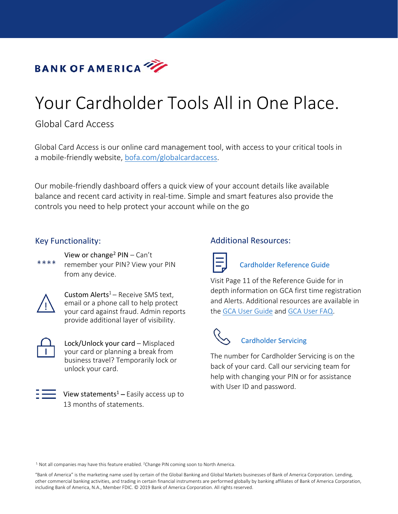

# Your Cardholder Tools All in One Place.

# Global Card Access

Global Card Access is our online card management tool, with access to your critical tools in a mobile-friendly website, [bofa.com/globalcardaccess.](https://spacardportal.works.com/gar/login?resume=%2Fidp%2F6zA5v%2FresumeSAML20%2Fidp%2FSSO.ping&spentity=prod-spa-gca&ForceAuthn=true)

Our mobile-friendly dashboard offers a quick view of your account details like available balance and recent card activity in real-time. Simple and smart features also provide the controls you need to help protect your account while on the go

### Key Functionality:

 $****$ 

View or change<sup>2</sup>  $PIN - Can't$ remember your PIN? View your PIN from any device.



Custom Alerts $1 -$ Receive SMS text, email or a phone call to help protect your card against fraud. Admin reports provide additional layer of visibility.



Lock/Unlock your card – Misplaced your card or planning a break from business travel? Temporarily lock or unlock your card.



View statements<sup>1</sup> – Easily access up to 13 months of statements.

## Additional Resources:



### [Cardholder](https://www.bofaml.com/content/dam/boamlimages/documents/PDFs/us_card_reference_guide.pdf) Reference Guide

Visit Page 11 of the Reference Guide for in depth information on GCA first time registration and Alerts. Additional resources are available in the [GCA User Guide](https://www.bofaml.com/content/dam/boamlimages/documents/PDFs/global_card_access_user_guide.pdf) and [GCA User FAQ.](https://www.bofaml.com/content/dam/boamlimages/documents/PDFs/global_card_access_faq.pdf)

# Cardholder Servicing

The number for Cardholder Servicing is on the back of your card. Call our servicing team for help with changing your PIN or for assistance with User ID and password.

 $<sup>1</sup>$  Not all companies may have this feature enabled. <sup>2</sup>Change PIN coming soon to North America.</sup>

"Bank of America" is the marketing name used by certain of the Global Banking and Global Markets businesses of Bank of America Corporation. Lending, other commercial banking activities, and trading in certain financial instruments are performed globally by banking affiliates of Bank of America Corporation, including Bank of America, N.A., Member FDIC. © 2019 Bank of America Corporation. All rights reserved.